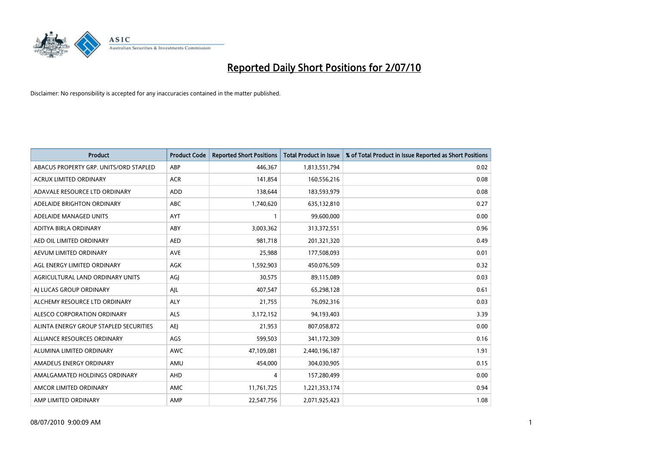

| <b>Product</b>                         | <b>Product Code</b> | <b>Reported Short Positions</b> | Total Product in Issue | % of Total Product in Issue Reported as Short Positions |
|----------------------------------------|---------------------|---------------------------------|------------------------|---------------------------------------------------------|
| ABACUS PROPERTY GRP. UNITS/ORD STAPLED | ABP                 | 446,367                         | 1,813,551,794          | 0.02                                                    |
| <b>ACRUX LIMITED ORDINARY</b>          | <b>ACR</b>          | 141,854                         | 160,556,216            | 0.08                                                    |
| ADAVALE RESOURCE LTD ORDINARY          | <b>ADD</b>          | 138,644                         | 183,593,979            | 0.08                                                    |
| ADELAIDE BRIGHTON ORDINARY             | <b>ABC</b>          | 1,740,620                       | 635,132,810            | 0.27                                                    |
| ADELAIDE MANAGED UNITS                 | <b>AYT</b>          |                                 | 99,600,000             | 0.00                                                    |
| ADITYA BIRLA ORDINARY                  | ABY                 | 3,003,362                       | 313,372,551            | 0.96                                                    |
| AED OIL LIMITED ORDINARY               | <b>AED</b>          | 981,718                         | 201,321,320            | 0.49                                                    |
| AEVUM LIMITED ORDINARY                 | <b>AVE</b>          | 25,988                          | 177,508,093            | 0.01                                                    |
| AGL ENERGY LIMITED ORDINARY            | <b>AGK</b>          | 1,592,903                       | 450,076,509            | 0.32                                                    |
| AGRICULTURAL LAND ORDINARY UNITS       | AGI                 | 30,575                          | 89,115,089             | 0.03                                                    |
| AI LUCAS GROUP ORDINARY                | AJL                 | 407,547                         | 65,298,128             | 0.61                                                    |
| ALCHEMY RESOURCE LTD ORDINARY          | <b>ALY</b>          | 21,755                          | 76,092,316             | 0.03                                                    |
| ALESCO CORPORATION ORDINARY            | <b>ALS</b>          | 3,172,152                       | 94,193,403             | 3.39                                                    |
| ALINTA ENERGY GROUP STAPLED SECURITIES | <b>AEI</b>          | 21.953                          | 807,058,872            | 0.00                                                    |
| ALLIANCE RESOURCES ORDINARY            | AGS                 | 599,503                         | 341,172,309            | 0.16                                                    |
| ALUMINA LIMITED ORDINARY               | <b>AWC</b>          | 47,109,081                      | 2,440,196,187          | 1.91                                                    |
| AMADEUS ENERGY ORDINARY                | AMU                 | 454,000                         | 304,030,905            | 0.15                                                    |
| AMALGAMATED HOLDINGS ORDINARY          | <b>AHD</b>          | 4                               | 157,280,499            | 0.00                                                    |
| AMCOR LIMITED ORDINARY                 | <b>AMC</b>          | 11,761,725                      | 1,221,353,174          | 0.94                                                    |
| AMP LIMITED ORDINARY                   | AMP                 | 22,547,756                      | 2,071,925,423          | 1.08                                                    |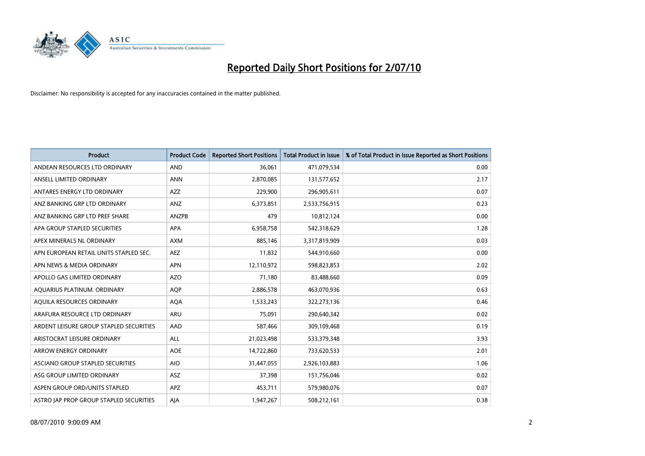

| <b>Product</b>                          | <b>Product Code</b> | <b>Reported Short Positions</b> | <b>Total Product in Issue</b> | % of Total Product in Issue Reported as Short Positions |
|-----------------------------------------|---------------------|---------------------------------|-------------------------------|---------------------------------------------------------|
| ANDEAN RESOURCES LTD ORDINARY           | <b>AND</b>          | 36.061                          | 471,079,534                   | 0.00                                                    |
| ANSELL LIMITED ORDINARY                 | <b>ANN</b>          | 2,870,085                       | 131,577,652                   | 2.17                                                    |
| ANTARES ENERGY LTD ORDINARY             | <b>AZZ</b>          | 229,900                         | 296,905,611                   | 0.07                                                    |
| ANZ BANKING GRP LTD ORDINARY            | ANZ                 | 6,373,851                       | 2,533,756,915                 | 0.23                                                    |
| ANZ BANKING GRP LTD PREF SHARE          | ANZPB               | 479                             | 10,812,124                    | 0.00                                                    |
| APA GROUP STAPLED SECURITIES            | APA                 | 6,958,758                       | 542,318,629                   | 1.28                                                    |
| APEX MINERALS NL ORDINARY               | <b>AXM</b>          | 885.146                         | 3,317,819,909                 | 0.03                                                    |
| APN EUROPEAN RETAIL UNITS STAPLED SEC.  | <b>AEZ</b>          | 11,832                          | 544,910,660                   | 0.00                                                    |
| APN NEWS & MEDIA ORDINARY               | <b>APN</b>          | 12,110,972                      | 598,823,853                   | 2.02                                                    |
| APOLLO GAS LIMITED ORDINARY             | <b>AZO</b>          | 71,180                          | 83,488,660                    | 0.09                                                    |
| AQUARIUS PLATINUM. ORDINARY             | <b>AOP</b>          | 2,886,578                       | 463,070,936                   | 0.63                                                    |
| AQUILA RESOURCES ORDINARY               | <b>AQA</b>          | 1,533,243                       | 322,273,136                   | 0.46                                                    |
| ARAFURA RESOURCE LTD ORDINARY           | <b>ARU</b>          | 75.091                          | 290,640,342                   | 0.02                                                    |
| ARDENT LEISURE GROUP STAPLED SECURITIES | AAD                 | 587,466                         | 309,109,468                   | 0.19                                                    |
| ARISTOCRAT LEISURE ORDINARY             | <b>ALL</b>          | 21,023,498                      | 533,379,348                   | 3.93                                                    |
| ARROW ENERGY ORDINARY                   | <b>AOE</b>          | 14,722,860                      | 733,620,533                   | 2.01                                                    |
| ASCIANO GROUP STAPLED SECURITIES        | <b>AIO</b>          | 31,447,055                      | 2,926,103,883                 | 1.06                                                    |
| ASG GROUP LIMITED ORDINARY              | <b>ASZ</b>          | 37,398                          | 151,756,046                   | 0.02                                                    |
| ASPEN GROUP ORD/UNITS STAPLED           | <b>APZ</b>          | 453,711                         | 579,980,076                   | 0.07                                                    |
| ASTRO JAP PROP GROUP STAPLED SECURITIES | AJA                 | 1,947,267                       | 508,212,161                   | 0.38                                                    |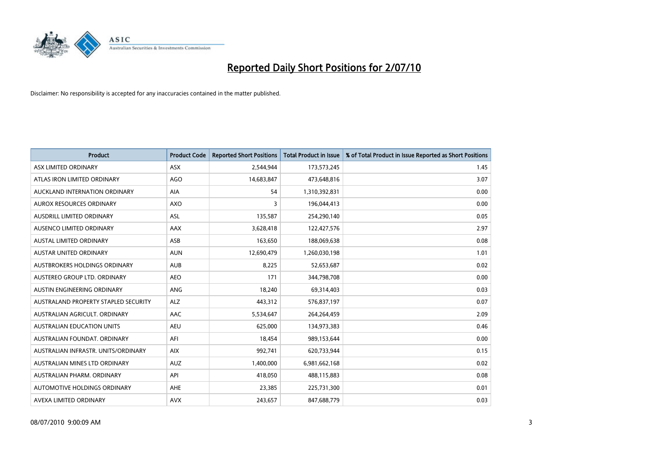

| <b>Product</b>                       | <b>Product Code</b> | <b>Reported Short Positions</b> | <b>Total Product in Issue</b> | % of Total Product in Issue Reported as Short Positions |
|--------------------------------------|---------------------|---------------------------------|-------------------------------|---------------------------------------------------------|
| ASX LIMITED ORDINARY                 | <b>ASX</b>          | 2,544,944                       | 173,573,245                   | 1.45                                                    |
| ATLAS IRON LIMITED ORDINARY          | <b>AGO</b>          | 14,683,847                      | 473,648,816                   | 3.07                                                    |
| AUCKLAND INTERNATION ORDINARY        | <b>AIA</b>          | 54                              | 1,310,392,831                 | 0.00                                                    |
| AUROX RESOURCES ORDINARY             | <b>AXO</b>          | 3                               | 196,044,413                   | 0.00                                                    |
| <b>AUSDRILL LIMITED ORDINARY</b>     | ASL                 | 135,587                         | 254,290,140                   | 0.05                                                    |
| AUSENCO LIMITED ORDINARY             | AAX                 | 3,628,418                       | 122,427,576                   | 2.97                                                    |
| <b>AUSTAL LIMITED ORDINARY</b>       | ASB                 | 163,650                         | 188,069,638                   | 0.08                                                    |
| AUSTAR UNITED ORDINARY               | <b>AUN</b>          | 12,690,479                      | 1,260,030,198                 | 1.01                                                    |
| AUSTBROKERS HOLDINGS ORDINARY        | <b>AUB</b>          | 8,225                           | 52,653,687                    | 0.02                                                    |
| AUSTEREO GROUP LTD. ORDINARY         | AEO                 | 171                             | 344,798,708                   | 0.00                                                    |
| AUSTIN ENGINEERING ORDINARY          | ANG                 | 18,240                          | 69,314,403                    | 0.03                                                    |
| AUSTRALAND PROPERTY STAPLED SECURITY | <b>ALZ</b>          | 443,312                         | 576,837,197                   | 0.07                                                    |
| AUSTRALIAN AGRICULT. ORDINARY        | AAC                 | 5,534,647                       | 264,264,459                   | 2.09                                                    |
| AUSTRALIAN EDUCATION UNITS           | <b>AEU</b>          | 625,000                         | 134,973,383                   | 0.46                                                    |
| AUSTRALIAN FOUNDAT, ORDINARY         | AFI                 | 18,454                          | 989,153,644                   | 0.00                                                    |
| AUSTRALIAN INFRASTR, UNITS/ORDINARY  | <b>AIX</b>          | 992,741                         | 620,733,944                   | 0.15                                                    |
| AUSTRALIAN MINES LTD ORDINARY        | <b>AUZ</b>          | 1,400,000                       | 6,981,662,168                 | 0.02                                                    |
| AUSTRALIAN PHARM. ORDINARY           | API                 | 418,050                         | 488,115,883                   | 0.08                                                    |
| AUTOMOTIVE HOLDINGS ORDINARY         | AHE                 | 23,385                          | 225,731,300                   | 0.01                                                    |
| AVEXA LIMITED ORDINARY               | <b>AVX</b>          | 243,657                         | 847,688,779                   | 0.03                                                    |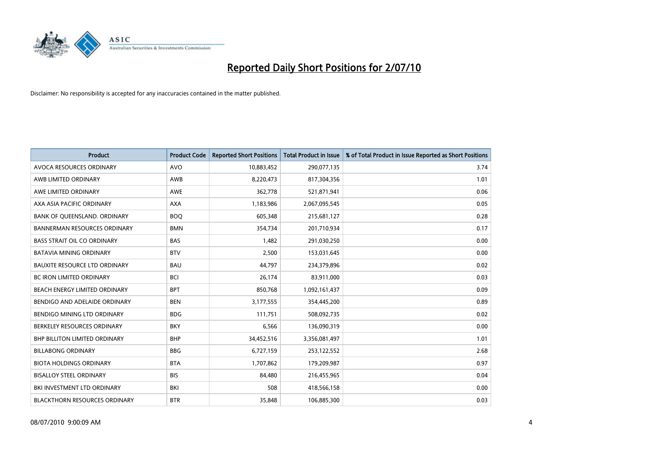

| <b>Product</b>                       | <b>Product Code</b> | <b>Reported Short Positions</b> | <b>Total Product in Issue</b> | % of Total Product in Issue Reported as Short Positions |
|--------------------------------------|---------------------|---------------------------------|-------------------------------|---------------------------------------------------------|
| AVOCA RESOURCES ORDINARY             | <b>AVO</b>          | 10,883,452                      | 290,077,135                   | 3.74                                                    |
| AWB LIMITED ORDINARY                 | AWB                 | 8,220,473                       | 817,304,356                   | 1.01                                                    |
| AWE LIMITED ORDINARY                 | <b>AWE</b>          | 362,778                         | 521,871,941                   | 0.06                                                    |
| AXA ASIA PACIFIC ORDINARY            | <b>AXA</b>          | 1,183,986                       | 2,067,095,545                 | 0.05                                                    |
| BANK OF OUEENSLAND, ORDINARY         | <b>BOO</b>          | 605,348                         | 215,681,127                   | 0.28                                                    |
| <b>BANNERMAN RESOURCES ORDINARY</b>  | <b>BMN</b>          | 354,734                         | 201,710,934                   | 0.17                                                    |
| <b>BASS STRAIT OIL CO ORDINARY</b>   | <b>BAS</b>          | 1.482                           | 291,030,250                   | 0.00                                                    |
| <b>BATAVIA MINING ORDINARY</b>       | <b>BTV</b>          | 2,500                           | 153,031,645                   | 0.00                                                    |
| <b>BAUXITE RESOURCE LTD ORDINARY</b> | <b>BAU</b>          | 44,797                          | 234,379,896                   | 0.02                                                    |
| <b>BC IRON LIMITED ORDINARY</b>      | <b>BCI</b>          | 26,174                          | 83,911,000                    | 0.03                                                    |
| BEACH ENERGY LIMITED ORDINARY        | <b>BPT</b>          | 850,768                         | 1,092,161,437                 | 0.09                                                    |
| BENDIGO AND ADELAIDE ORDINARY        | <b>BEN</b>          | 3,177,555                       | 354,445,200                   | 0.89                                                    |
| <b>BENDIGO MINING LTD ORDINARY</b>   | <b>BDG</b>          | 111.751                         | 508,092,735                   | 0.02                                                    |
| BERKELEY RESOURCES ORDINARY          | <b>BKY</b>          | 6,566                           | 136,090,319                   | 0.00                                                    |
| <b>BHP BILLITON LIMITED ORDINARY</b> | <b>BHP</b>          | 34,452,516                      | 3,356,081,497                 | 1.01                                                    |
| <b>BILLABONG ORDINARY</b>            | <b>BBG</b>          | 6,727,159                       | 253,122,552                   | 2.68                                                    |
| <b>BIOTA HOLDINGS ORDINARY</b>       | <b>BTA</b>          | 1,707,862                       | 179,209,987                   | 0.97                                                    |
| <b>BISALLOY STEEL ORDINARY</b>       | <b>BIS</b>          | 84,480                          | 216,455,965                   | 0.04                                                    |
| BKI INVESTMENT LTD ORDINARY          | <b>BKI</b>          | 508                             | 418,566,158                   | 0.00                                                    |
| <b>BLACKTHORN RESOURCES ORDINARY</b> | <b>BTR</b>          | 35,848                          | 106,885,300                   | 0.03                                                    |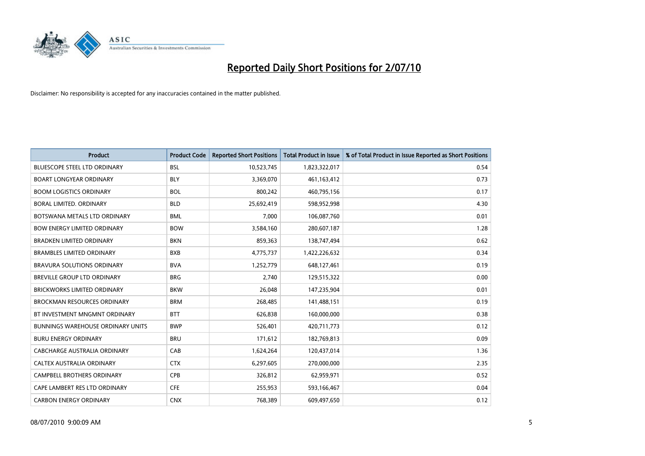

| <b>Product</b>                           | <b>Product Code</b> | <b>Reported Short Positions</b> | Total Product in Issue | % of Total Product in Issue Reported as Short Positions |
|------------------------------------------|---------------------|---------------------------------|------------------------|---------------------------------------------------------|
| <b>BLUESCOPE STEEL LTD ORDINARY</b>      | <b>BSL</b>          | 10,523,745                      | 1,823,322,017          | 0.54                                                    |
| <b>BOART LONGYEAR ORDINARY</b>           | <b>BLY</b>          | 3,369,070                       | 461,163,412            | 0.73                                                    |
| <b>BOOM LOGISTICS ORDINARY</b>           | <b>BOL</b>          | 800,242                         | 460,795,156            | 0.17                                                    |
| BORAL LIMITED. ORDINARY                  | <b>BLD</b>          | 25,692,419                      | 598,952,998            | 4.30                                                    |
| BOTSWANA METALS LTD ORDINARY             | <b>BML</b>          | 7.000                           | 106,087,760            | 0.01                                                    |
| <b>BOW ENERGY LIMITED ORDINARY</b>       | <b>BOW</b>          | 3,584,160                       | 280,607,187            | 1.28                                                    |
| <b>BRADKEN LIMITED ORDINARY</b>          | <b>BKN</b>          | 859.363                         | 138,747,494            | 0.62                                                    |
| <b>BRAMBLES LIMITED ORDINARY</b>         | <b>BXB</b>          | 4,775,737                       | 1,422,226,632          | 0.34                                                    |
| BRAVURA SOLUTIONS ORDINARY               | <b>BVA</b>          | 1,252,779                       | 648,127,461            | 0.19                                                    |
| <b>BREVILLE GROUP LTD ORDINARY</b>       | <b>BRG</b>          | 2.740                           | 129,515,322            | 0.00                                                    |
| <b>BRICKWORKS LIMITED ORDINARY</b>       | <b>BKW</b>          | 26,048                          | 147,235,904            | 0.01                                                    |
| <b>BROCKMAN RESOURCES ORDINARY</b>       | <b>BRM</b>          | 268,485                         | 141,488,151            | 0.19                                                    |
| BT INVESTMENT MNGMNT ORDINARY            | <b>BTT</b>          | 626.838                         | 160,000,000            | 0.38                                                    |
| <b>BUNNINGS WAREHOUSE ORDINARY UNITS</b> | <b>BWP</b>          | 526.401                         | 420,711,773            | 0.12                                                    |
| <b>BURU ENERGY ORDINARY</b>              | <b>BRU</b>          | 171,612                         | 182,769,813            | 0.09                                                    |
| CABCHARGE AUSTRALIA ORDINARY             | CAB                 | 1,624,264                       | 120,437,014            | 1.36                                                    |
| CALTEX AUSTRALIA ORDINARY                | <b>CTX</b>          | 6,297,605                       | 270,000,000            | 2.35                                                    |
| CAMPBELL BROTHERS ORDINARY               | <b>CPB</b>          | 326,812                         | 62,959,971             | 0.52                                                    |
| CAPE LAMBERT RES LTD ORDINARY            | <b>CFE</b>          | 255,953                         | 593,166,467            | 0.04                                                    |
| <b>CARBON ENERGY ORDINARY</b>            | <b>CNX</b>          | 768,389                         | 609.497.650            | 0.12                                                    |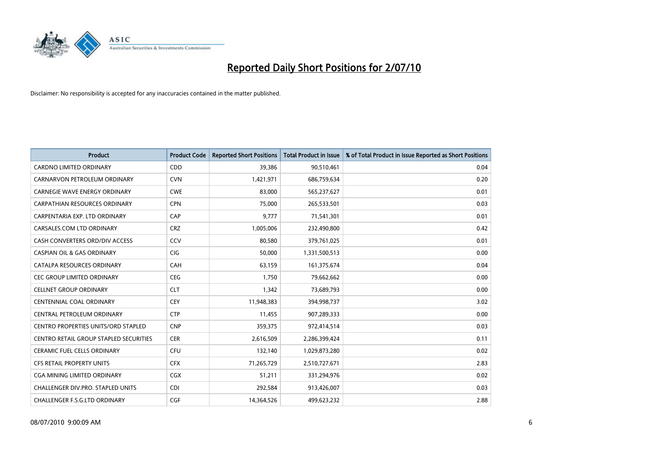

| <b>Product</b>                                | <b>Product Code</b> | <b>Reported Short Positions</b> | <b>Total Product in Issue</b> | % of Total Product in Issue Reported as Short Positions |
|-----------------------------------------------|---------------------|---------------------------------|-------------------------------|---------------------------------------------------------|
| <b>CARDNO LIMITED ORDINARY</b>                | CDD                 | 39,386                          | 90,510,461                    | 0.04                                                    |
| CARNARVON PETROLEUM ORDINARY                  | <b>CVN</b>          | 1,421,971                       | 686,759,634                   | 0.20                                                    |
| <b>CARNEGIE WAVE ENERGY ORDINARY</b>          | <b>CWE</b>          | 83,000                          | 565,237,627                   | 0.01                                                    |
| CARPATHIAN RESOURCES ORDINARY                 | <b>CPN</b>          | 75,000                          | 265,533,501                   | 0.03                                                    |
| CARPENTARIA EXP. LTD ORDINARY                 | CAP                 | 9,777                           | 71,541,301                    | 0.01                                                    |
| CARSALES.COM LTD ORDINARY                     | <b>CRZ</b>          | 1,005,006                       | 232,490,800                   | 0.42                                                    |
| CASH CONVERTERS ORD/DIV ACCESS                | CCV                 | 80.580                          | 379,761,025                   | 0.01                                                    |
| <b>CASPIAN OIL &amp; GAS ORDINARY</b>         | <b>CIG</b>          | 50,000                          | 1,331,500,513                 | 0.00                                                    |
| CATALPA RESOURCES ORDINARY                    | CAH                 | 63,159                          | 161,375,674                   | 0.04                                                    |
| <b>CEC GROUP LIMITED ORDINARY</b>             | <b>CEG</b>          | 1,750                           | 79,662,662                    | 0.00                                                    |
| <b>CELLNET GROUP ORDINARY</b>                 | <b>CLT</b>          | 1,342                           | 73,689,793                    | 0.00                                                    |
| <b>CENTENNIAL COAL ORDINARY</b>               | <b>CEY</b>          | 11,948,383                      | 394,998,737                   | 3.02                                                    |
| CENTRAL PETROLEUM ORDINARY                    | <b>CTP</b>          | 11,455                          | 907,289,333                   | 0.00                                                    |
| <b>CENTRO PROPERTIES UNITS/ORD STAPLED</b>    | <b>CNP</b>          | 359,375                         | 972,414,514                   | 0.03                                                    |
| <b>CENTRO RETAIL GROUP STAPLED SECURITIES</b> | <b>CER</b>          | 2,616,509                       | 2,286,399,424                 | 0.11                                                    |
| <b>CERAMIC FUEL CELLS ORDINARY</b>            | CFU                 | 132,140                         | 1,029,873,280                 | 0.02                                                    |
| <b>CFS RETAIL PROPERTY UNITS</b>              | <b>CFX</b>          | 71,265,729                      | 2,510,727,671                 | 2.83                                                    |
| CGA MINING LIMITED ORDINARY                   | <b>CGX</b>          | 51,211                          | 331,294,976                   | 0.02                                                    |
| <b>CHALLENGER DIV.PRO. STAPLED UNITS</b>      | <b>CDI</b>          | 292,584                         | 913,426,007                   | 0.03                                                    |
| CHALLENGER F.S.G.LTD ORDINARY                 | CGF                 | 14,364,526                      | 499.623.232                   | 2.88                                                    |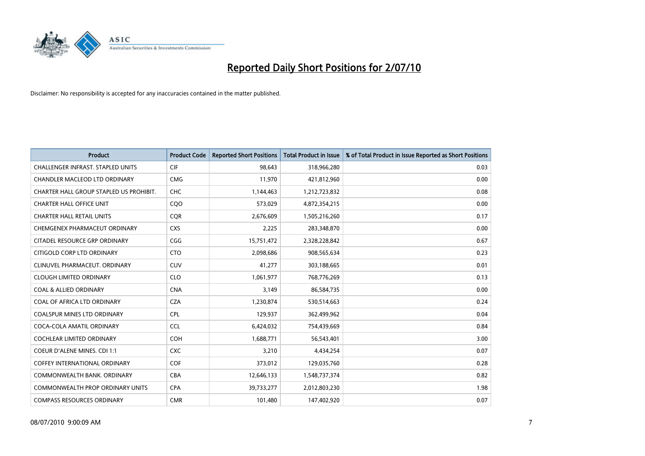

| <b>Product</b>                           | <b>Product Code</b> | <b>Reported Short Positions</b> | Total Product in Issue | % of Total Product in Issue Reported as Short Positions |
|------------------------------------------|---------------------|---------------------------------|------------------------|---------------------------------------------------------|
| <b>CHALLENGER INFRAST, STAPLED UNITS</b> | CIF                 | 98,643                          | 318,966,280            | 0.03                                                    |
| CHANDLER MACLEOD LTD ORDINARY            | <b>CMG</b>          | 11,970                          | 421,812,960            | 0.00                                                    |
| CHARTER HALL GROUP STAPLED US PROHIBIT.  | CHC                 | 1,144,463                       | 1,212,723,832          | 0.08                                                    |
| <b>CHARTER HALL OFFICE UNIT</b>          | CQ <sub>O</sub>     | 573,029                         | 4,872,354,215          | 0.00                                                    |
| <b>CHARTER HALL RETAIL UNITS</b>         | <b>COR</b>          | 2,676,609                       | 1,505,216,260          | 0.17                                                    |
| CHEMGENEX PHARMACEUT ORDINARY            | <b>CXS</b>          | 2,225                           | 283,348,870            | 0.00                                                    |
| CITADEL RESOURCE GRP ORDINARY            | CGG                 | 15,751,472                      | 2,328,228,842          | 0.67                                                    |
| CITIGOLD CORP LTD ORDINARY               | <b>CTO</b>          | 2,098,686                       | 908,565,634            | 0.23                                                    |
| CLINUVEL PHARMACEUT. ORDINARY            | <b>CUV</b>          | 41,277                          | 303,188,665            | 0.01                                                    |
| <b>CLOUGH LIMITED ORDINARY</b>           | <b>CLO</b>          | 1,061,977                       | 768,776,269            | 0.13                                                    |
| <b>COAL &amp; ALLIED ORDINARY</b>        | <b>CNA</b>          | 3,149                           | 86,584,735             | 0.00                                                    |
| COAL OF AFRICA LTD ORDINARY              | <b>CZA</b>          | 1,230,874                       | 530,514,663            | 0.24                                                    |
| <b>COALSPUR MINES LTD ORDINARY</b>       | <b>CPL</b>          | 129,937                         | 362,499,962            | 0.04                                                    |
| COCA-COLA AMATIL ORDINARY                | <b>CCL</b>          | 6,424,032                       | 754,439,669            | 0.84                                                    |
| <b>COCHLEAR LIMITED ORDINARY</b>         | <b>COH</b>          | 1,688,771                       | 56,543,401             | 3.00                                                    |
| COEUR D'ALENE MINES. CDI 1:1             | <b>CXC</b>          | 3,210                           | 4,434,254              | 0.07                                                    |
| <b>COFFEY INTERNATIONAL ORDINARY</b>     | COF                 | 373,012                         | 129,035,760            | 0.28                                                    |
| COMMONWEALTH BANK, ORDINARY              | <b>CBA</b>          | 12,646,133                      | 1,548,737,374          | 0.82                                                    |
| <b>COMMONWEALTH PROP ORDINARY UNITS</b>  | <b>CPA</b>          | 39,733,277                      | 2,012,803,230          | 1.98                                                    |
| <b>COMPASS RESOURCES ORDINARY</b>        | <b>CMR</b>          | 101.480                         | 147,402,920            | 0.07                                                    |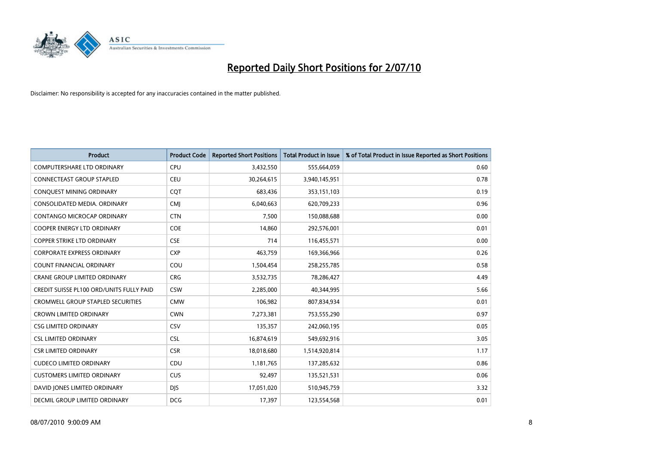

| <b>Product</b>                                  | <b>Product Code</b> | <b>Reported Short Positions</b> | <b>Total Product in Issue</b> | % of Total Product in Issue Reported as Short Positions |
|-------------------------------------------------|---------------------|---------------------------------|-------------------------------|---------------------------------------------------------|
| <b>COMPUTERSHARE LTD ORDINARY</b>               | CPU                 | 3,432,550                       | 555,664,059                   | 0.60                                                    |
| CONNECTEAST GROUP STAPLED                       | CEU                 | 30,264,615                      | 3,940,145,951                 | 0.78                                                    |
| CONQUEST MINING ORDINARY                        | CQT                 | 683,436                         | 353,151,103                   | 0.19                                                    |
| CONSOLIDATED MEDIA, ORDINARY                    | <b>CMJ</b>          | 6,040,663                       | 620,709,233                   | 0.96                                                    |
| CONTANGO MICROCAP ORDINARY                      | <b>CTN</b>          | 7,500                           | 150,088,688                   | 0.00                                                    |
| <b>COOPER ENERGY LTD ORDINARY</b>               | <b>COE</b>          | 14,860                          | 292,576,001                   | 0.01                                                    |
| <b>COPPER STRIKE LTD ORDINARY</b>               | <b>CSE</b>          | 714                             | 116,455,571                   | 0.00                                                    |
| <b>CORPORATE EXPRESS ORDINARY</b>               | <b>CXP</b>          | 463,759                         | 169,366,966                   | 0.26                                                    |
| COUNT FINANCIAL ORDINARY                        | COU                 | 1,504,454                       | 258,255,785                   | 0.58                                                    |
| <b>CRANE GROUP LIMITED ORDINARY</b>             | <b>CRG</b>          | 3,532,735                       | 78,286,427                    | 4.49                                                    |
| <b>CREDIT SUISSE PL100 ORD/UNITS FULLY PAID</b> | <b>CSW</b>          | 2,285,000                       | 40,344,995                    | 5.66                                                    |
| CROMWELL GROUP STAPLED SECURITIES               | <b>CMW</b>          | 106,982                         | 807,834,934                   | 0.01                                                    |
| <b>CROWN LIMITED ORDINARY</b>                   | <b>CWN</b>          | 7,273,381                       | 753,555,290                   | 0.97                                                    |
| <b>CSG LIMITED ORDINARY</b>                     | CSV                 | 135,357                         | 242,060,195                   | 0.05                                                    |
| <b>CSL LIMITED ORDINARY</b>                     | <b>CSL</b>          | 16,874,619                      | 549,692,916                   | 3.05                                                    |
| <b>CSR LIMITED ORDINARY</b>                     | <b>CSR</b>          | 18,018,680                      | 1,514,920,814                 | 1.17                                                    |
| <b>CUDECO LIMITED ORDINARY</b>                  | CDU                 | 1,181,765                       | 137,285,632                   | 0.86                                                    |
| <b>CUSTOMERS LIMITED ORDINARY</b>               | <b>CUS</b>          | 92,497                          | 135,521,531                   | 0.06                                                    |
| DAVID JONES LIMITED ORDINARY                    | <b>DIS</b>          | 17,051,020                      | 510,945,759                   | 3.32                                                    |
| DECMIL GROUP LIMITED ORDINARY                   | <b>DCG</b>          | 17,397                          | 123,554,568                   | 0.01                                                    |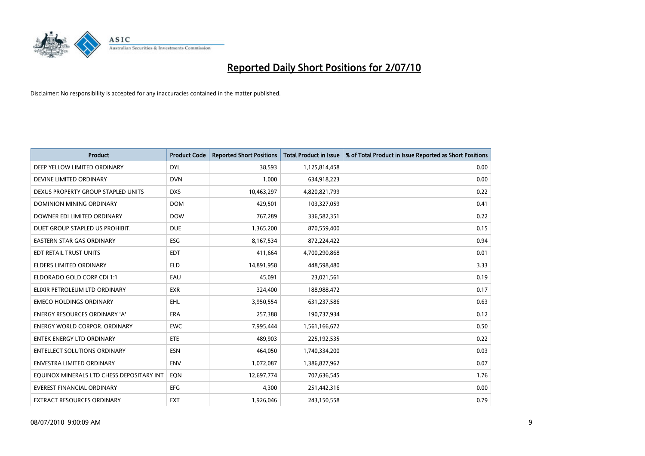

| <b>Product</b>                            | <b>Product Code</b> | <b>Reported Short Positions</b> | <b>Total Product in Issue</b> | % of Total Product in Issue Reported as Short Positions |
|-------------------------------------------|---------------------|---------------------------------|-------------------------------|---------------------------------------------------------|
| DEEP YELLOW LIMITED ORDINARY              | <b>DYL</b>          | 38,593                          | 1,125,814,458                 | 0.00                                                    |
| DEVINE LIMITED ORDINARY                   | <b>DVN</b>          | 1,000                           | 634,918,223                   | 0.00                                                    |
| DEXUS PROPERTY GROUP STAPLED UNITS        | <b>DXS</b>          | 10,463,297                      | 4,820,821,799                 | 0.22                                                    |
| <b>DOMINION MINING ORDINARY</b>           | <b>DOM</b>          | 429,501                         | 103,327,059                   | 0.41                                                    |
| DOWNER EDI LIMITED ORDINARY               | <b>DOW</b>          | 767,289                         | 336,582,351                   | 0.22                                                    |
| DUET GROUP STAPLED US PROHIBIT.           | <b>DUE</b>          | 1,365,200                       | 870,559,400                   | 0.15                                                    |
| <b>EASTERN STAR GAS ORDINARY</b>          | ESG                 | 8,167,534                       | 872,224,422                   | 0.94                                                    |
| <b>EDT RETAIL TRUST UNITS</b>             | <b>EDT</b>          | 411,664                         | 4,700,290,868                 | 0.01                                                    |
| ELDERS LIMITED ORDINARY                   | <b>ELD</b>          | 14,891,958                      | 448,598,480                   | 3.33                                                    |
| ELDORADO GOLD CORP CDI 1:1                | EAU                 | 45,091                          | 23,021,561                    | 0.19                                                    |
| ELIXIR PETROLEUM LTD ORDINARY             | <b>EXR</b>          | 324,400                         | 188,988,472                   | 0.17                                                    |
| <b>EMECO HOLDINGS ORDINARY</b>            | <b>EHL</b>          | 3,950,554                       | 631,237,586                   | 0.63                                                    |
| <b>ENERGY RESOURCES ORDINARY 'A'</b>      | <b>ERA</b>          | 257,388                         | 190,737,934                   | 0.12                                                    |
| <b>ENERGY WORLD CORPOR, ORDINARY</b>      | <b>EWC</b>          | 7,995,444                       | 1,561,166,672                 | 0.50                                                    |
| <b>ENTEK ENERGY LTD ORDINARY</b>          | ETE                 | 489,903                         | 225,192,535                   | 0.22                                                    |
| <b>ENTELLECT SOLUTIONS ORDINARY</b>       | <b>ESN</b>          | 464.050                         | 1,740,334,200                 | 0.03                                                    |
| <b>ENVESTRA LIMITED ORDINARY</b>          | <b>ENV</b>          | 1,072,087                       | 1,386,827,962                 | 0.07                                                    |
| EQUINOX MINERALS LTD CHESS DEPOSITARY INT | EQN                 | 12,697,774                      | 707,636,545                   | 1.76                                                    |
| <b>EVEREST FINANCIAL ORDINARY</b>         | EFG                 | 4,300                           | 251,442,316                   | 0.00                                                    |
| EXTRACT RESOURCES ORDINARY                | <b>EXT</b>          | 1,926,046                       | 243,150,558                   | 0.79                                                    |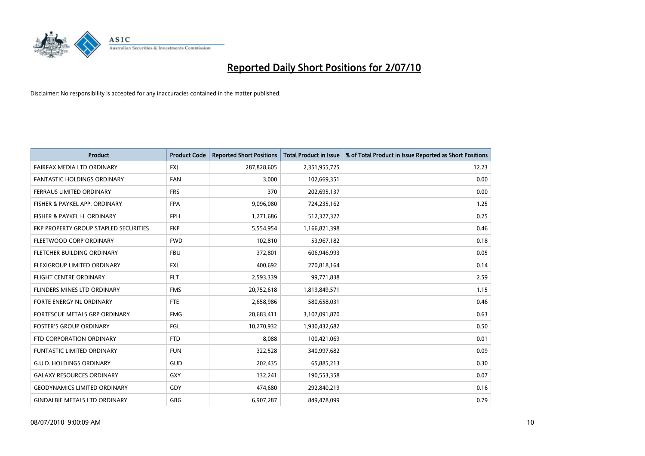

| <b>Product</b>                        | <b>Product Code</b> | <b>Reported Short Positions</b> | <b>Total Product in Issue</b> | % of Total Product in Issue Reported as Short Positions |
|---------------------------------------|---------------------|---------------------------------|-------------------------------|---------------------------------------------------------|
| FAIRFAX MEDIA LTD ORDINARY            | <b>FXJ</b>          | 287,828,605                     | 2,351,955,725                 | 12.23                                                   |
| FANTASTIC HOLDINGS ORDINARY           | <b>FAN</b>          | 3,000                           | 102,669,351                   | 0.00                                                    |
| <b>FERRAUS LIMITED ORDINARY</b>       | <b>FRS</b>          | 370                             | 202,695,137                   | 0.00                                                    |
| FISHER & PAYKEL APP. ORDINARY         | <b>FPA</b>          | 9,096,080                       | 724,235,162                   | 1.25                                                    |
| FISHER & PAYKEL H. ORDINARY           | <b>FPH</b>          | 1,271,686                       | 512,327,327                   | 0.25                                                    |
| FKP PROPERTY GROUP STAPLED SECURITIES | <b>FKP</b>          | 5,554,954                       | 1,166,821,398                 | 0.46                                                    |
| FLEETWOOD CORP ORDINARY               | <b>FWD</b>          | 102,810                         | 53,967,182                    | 0.18                                                    |
| <b>FLETCHER BUILDING ORDINARY</b>     | <b>FBU</b>          | 372,801                         | 606,946,993                   | 0.05                                                    |
| FLEXIGROUP LIMITED ORDINARY           | <b>FXL</b>          | 400,692                         | 270,818,164                   | 0.14                                                    |
| <b>FLIGHT CENTRE ORDINARY</b>         | <b>FLT</b>          | 2,593,339                       | 99,771,838                    | 2.59                                                    |
| <b>FLINDERS MINES LTD ORDINARY</b>    | <b>FMS</b>          | 20,752,618                      | 1,819,849,571                 | 1.15                                                    |
| FORTE ENERGY NL ORDINARY              | <b>FTE</b>          | 2,658,986                       | 580,658,031                   | 0.46                                                    |
| FORTESCUE METALS GRP ORDINARY         | <b>FMG</b>          | 20,683,411                      | 3,107,091,870                 | 0.63                                                    |
| <b>FOSTER'S GROUP ORDINARY</b>        | FGL                 | 10,270,932                      | 1,930,432,682                 | 0.50                                                    |
| FTD CORPORATION ORDINARY              | <b>FTD</b>          | 8,088                           | 100,421,069                   | 0.01                                                    |
| <b>FUNTASTIC LIMITED ORDINARY</b>     | <b>FUN</b>          | 322,528                         | 340,997,682                   | 0.09                                                    |
| <b>G.U.D. HOLDINGS ORDINARY</b>       | <b>GUD</b>          | 202,435                         | 65,885,213                    | 0.30                                                    |
| <b>GALAXY RESOURCES ORDINARY</b>      | <b>GXY</b>          | 132,241                         | 190,553,358                   | 0.07                                                    |
| <b>GEODYNAMICS LIMITED ORDINARY</b>   | GDY                 | 474,680                         | 292,840,219                   | 0.16                                                    |
| <b>GINDALBIE METALS LTD ORDINARY</b>  | <b>GBG</b>          | 6,907,287                       | 849,478,099                   | 0.79                                                    |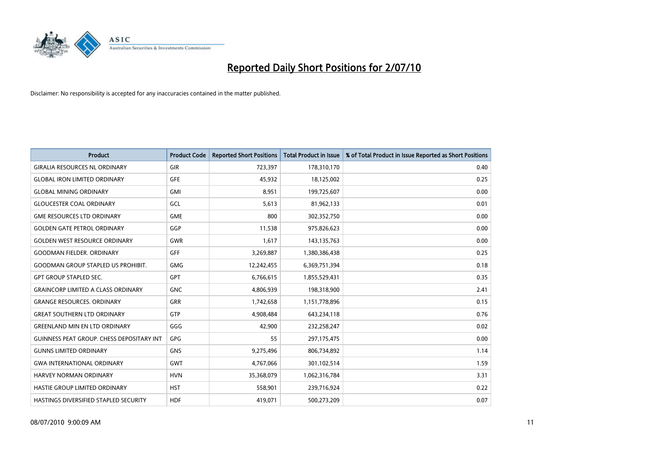

| <b>Product</b>                               | <b>Product Code</b> | <b>Reported Short Positions</b> | Total Product in Issue | % of Total Product in Issue Reported as Short Positions |
|----------------------------------------------|---------------------|---------------------------------|------------------------|---------------------------------------------------------|
| <b>GIRALIA RESOURCES NL ORDINARY</b>         | GIR                 | 723,397                         | 178,310,170            | 0.40                                                    |
| <b>GLOBAL IRON LIMITED ORDINARY</b>          | <b>GFE</b>          | 45,932                          | 18,125,002             | 0.25                                                    |
| <b>GLOBAL MINING ORDINARY</b>                | <b>GMI</b>          | 8,951                           | 199,725,607            | 0.00                                                    |
| <b>GLOUCESTER COAL ORDINARY</b>              | GCL                 | 5,613                           | 81,962,133             | 0.01                                                    |
| <b>GME RESOURCES LTD ORDINARY</b>            | <b>GME</b>          | 800                             | 302,352,750            | 0.00                                                    |
| <b>GOLDEN GATE PETROL ORDINARY</b>           | GGP                 | 11,538                          | 975,826,623            | 0.00                                                    |
| <b>GOLDEN WEST RESOURCE ORDINARY</b>         | <b>GWR</b>          | 1,617                           | 143,135,763            | 0.00                                                    |
| <b>GOODMAN FIELDER, ORDINARY</b>             | GFF                 | 3,269,887                       | 1,380,386,438          | 0.25                                                    |
| <b>GOODMAN GROUP STAPLED US PROHIBIT.</b>    | <b>GMG</b>          | 12,242,455                      | 6,369,751,394          | 0.18                                                    |
| <b>GPT GROUP STAPLED SEC.</b>                | <b>GPT</b>          | 6,766,615                       | 1,855,529,431          | 0.35                                                    |
| <b>GRAINCORP LIMITED A CLASS ORDINARY</b>    | <b>GNC</b>          | 4,806,939                       | 198,318,900            | 2.41                                                    |
| <b>GRANGE RESOURCES, ORDINARY</b>            | <b>GRR</b>          | 1,742,658                       | 1,151,778,896          | 0.15                                                    |
| <b>GREAT SOUTHERN LTD ORDINARY</b>           | <b>GTP</b>          | 4,908,484                       | 643,234,118            | 0.76                                                    |
| <b>GREENLAND MIN EN LTD ORDINARY</b>         | GGG                 | 42,900                          | 232,258,247            | 0.02                                                    |
| GUINNESS PEAT GROUP. CHESS DEPOSITARY INT    | GPG                 | 55                              | 297,175,475            | 0.00                                                    |
| <b>GUNNS LIMITED ORDINARY</b>                | <b>GNS</b>          | 9,275,496                       | 806,734,892            | 1.14                                                    |
| <b>GWA INTERNATIONAL ORDINARY</b>            | <b>GWT</b>          | 4,767,066                       | 301,102,514            | 1.59                                                    |
| HARVEY NORMAN ORDINARY                       | <b>HVN</b>          | 35,368,079                      | 1,062,316,784          | 3.31                                                    |
| HASTIE GROUP LIMITED ORDINARY                | <b>HST</b>          | 558,901                         | 239,716,924            | 0.22                                                    |
| <b>HASTINGS DIVERSIFIED STAPLED SECURITY</b> | <b>HDF</b>          | 419.071                         | 500,273,209            | 0.07                                                    |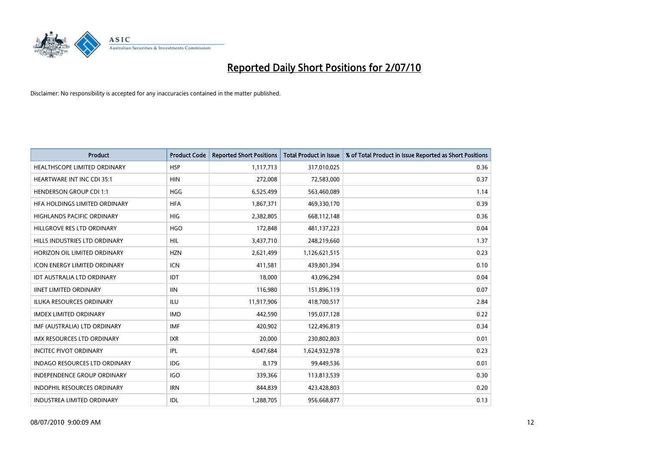

| <b>Product</b>                       | <b>Product Code</b> | <b>Reported Short Positions</b> | Total Product in Issue | % of Total Product in Issue Reported as Short Positions |
|--------------------------------------|---------------------|---------------------------------|------------------------|---------------------------------------------------------|
| <b>HEALTHSCOPE LIMITED ORDINARY</b>  | <b>HSP</b>          | 1,117,713                       | 317,010,025            | 0.36                                                    |
| HEARTWARE INT INC CDI 35:1           | <b>HIN</b>          | 272,008                         | 72,583,000             | 0.37                                                    |
| <b>HENDERSON GROUP CDI 1:1</b>       | <b>HGG</b>          | 6,525,499                       | 563,460,089            | 1.14                                                    |
| HFA HOLDINGS LIMITED ORDINARY        | <b>HFA</b>          | 1,867,371                       | 469,330,170            | 0.39                                                    |
| <b>HIGHLANDS PACIFIC ORDINARY</b>    | <b>HIG</b>          | 2,382,805                       | 668,112,148            | 0.36                                                    |
| HILLGROVE RES LTD ORDINARY           | <b>HGO</b>          | 172,848                         | 481,137,223            | 0.04                                                    |
| HILLS INDUSTRIES LTD ORDINARY        | <b>HIL</b>          | 3,437,710                       | 248,219,660            | 1.37                                                    |
| HORIZON OIL LIMITED ORDINARY         | <b>HZN</b>          | 2,621,499                       | 1,126,621,515          | 0.23                                                    |
| ICON ENERGY LIMITED ORDINARY         | <b>ICN</b>          | 411,581                         | 439,801,394            | 0.10                                                    |
| <b>IDT AUSTRALIA LTD ORDINARY</b>    | <b>IDT</b>          | 18,000                          | 43,096,294             | 0.04                                                    |
| <b>IINET LIMITED ORDINARY</b>        | <b>IIN</b>          | 116,980                         | 151,896,119            | 0.07                                                    |
| <b>ILUKA RESOURCES ORDINARY</b>      | <b>ILU</b>          | 11,917,906                      | 418,700,517            | 2.84                                                    |
| <b>IMDEX LIMITED ORDINARY</b>        | <b>IMD</b>          | 442,590                         | 195,037,128            | 0.22                                                    |
| IMF (AUSTRALIA) LTD ORDINARY         | <b>IMF</b>          | 420,902                         | 122,496,819            | 0.34                                                    |
| <b>IMX RESOURCES LTD ORDINARY</b>    | <b>IXR</b>          | 20,000                          | 230,802,803            | 0.01                                                    |
| <b>INCITEC PIVOT ORDINARY</b>        | <b>IPL</b>          | 4,047,684                       | 1,624,932,978          | 0.23                                                    |
| <b>INDAGO RESOURCES LTD ORDINARY</b> | <b>IDG</b>          | 8,179                           | 99,449,536             | 0.01                                                    |
| INDEPENDENCE GROUP ORDINARY          | <b>IGO</b>          | 339,366                         | 113,813,539            | 0.30                                                    |
| <b>INDOPHIL RESOURCES ORDINARY</b>   | <b>IRN</b>          | 844,839                         | 423,428,803            | 0.20                                                    |
| <b>INDUSTREA LIMITED ORDINARY</b>    | IDL                 | 1,288,705                       | 956,668,877            | 0.13                                                    |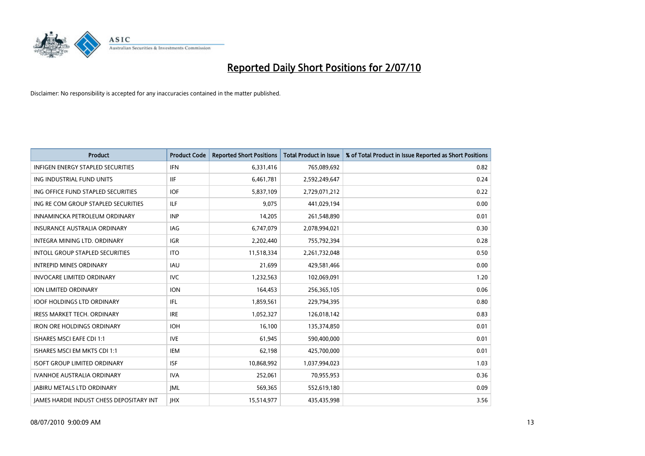

| <b>Product</b>                                  | <b>Product Code</b> | <b>Reported Short Positions</b> | Total Product in Issue | % of Total Product in Issue Reported as Short Positions |
|-------------------------------------------------|---------------------|---------------------------------|------------------------|---------------------------------------------------------|
| <b>INFIGEN ENERGY STAPLED SECURITIES</b>        | <b>IFN</b>          | 6,331,416                       | 765,089,692            | 0.82                                                    |
| ING INDUSTRIAL FUND UNITS                       | <b>IIF</b>          | 6,461,781                       | 2,592,249,647          | 0.24                                                    |
| ING OFFICE FUND STAPLED SECURITIES              | <b>IOF</b>          | 5,837,109                       | 2,729,071,212          | 0.22                                                    |
| ING RE COM GROUP STAPLED SECURITIES             | <b>ILF</b>          | 9,075                           | 441,029,194            | 0.00                                                    |
| INNAMINCKA PETROLEUM ORDINARY                   | <b>INP</b>          | 14,205                          | 261,548,890            | 0.01                                                    |
| <b>INSURANCE AUSTRALIA ORDINARY</b>             | IAG                 | 6,747,079                       | 2,078,994,021          | 0.30                                                    |
| INTEGRA MINING LTD, ORDINARY                    | <b>IGR</b>          | 2,202,440                       | 755,792,394            | 0.28                                                    |
| <b>INTOLL GROUP STAPLED SECURITIES</b>          | <b>ITO</b>          | 11,518,334                      | 2,261,732,048          | 0.50                                                    |
| <b>INTREPID MINES ORDINARY</b>                  | <b>IAU</b>          | 21,699                          | 429,581,466            | 0.00                                                    |
| <b>INVOCARE LIMITED ORDINARY</b>                | <b>IVC</b>          | 1,232,563                       | 102,069,091            | 1.20                                                    |
| <b>ION LIMITED ORDINARY</b>                     | <b>ION</b>          | 164,453                         | 256,365,105            | 0.06                                                    |
| <b>IOOF HOLDINGS LTD ORDINARY</b>               | IFL.                | 1,859,561                       | 229,794,395            | 0.80                                                    |
| <b>IRESS MARKET TECH. ORDINARY</b>              | <b>IRE</b>          | 1,052,327                       | 126,018,142            | 0.83                                                    |
| <b>IRON ORE HOLDINGS ORDINARY</b>               | <b>IOH</b>          | 16,100                          | 135,374,850            | 0.01                                                    |
| <b>ISHARES MSCI EAFE CDI 1:1</b>                | <b>IVE</b>          | 61,945                          | 590,400,000            | 0.01                                                    |
| ISHARES MSCI EM MKTS CDI 1:1                    | <b>IEM</b>          | 62,198                          | 425,700,000            | 0.01                                                    |
| <b>ISOFT GROUP LIMITED ORDINARY</b>             | <b>ISF</b>          | 10,868,992                      | 1,037,994,023          | 1.03                                                    |
| IVANHOE AUSTRALIA ORDINARY                      | <b>IVA</b>          | 252,061                         | 70,955,953             | 0.36                                                    |
| <b>IABIRU METALS LTD ORDINARY</b>               | <b>JML</b>          | 569,365                         | 552,619,180            | 0.09                                                    |
| <b>IAMES HARDIE INDUST CHESS DEPOSITARY INT</b> | <b>IHX</b>          | 15,514,977                      | 435,435,998            | 3.56                                                    |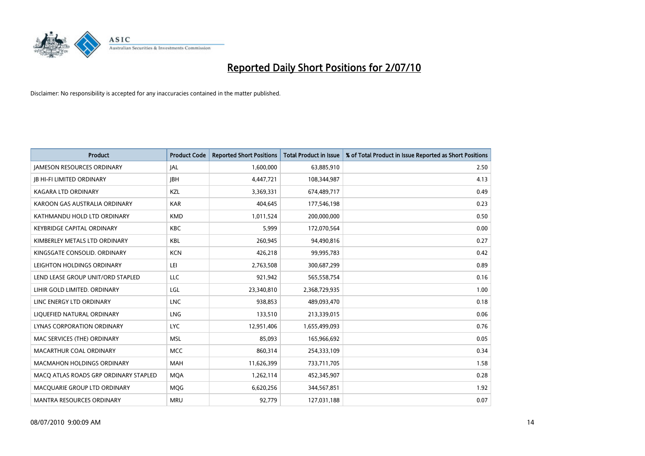

| <b>Product</b>                        | <b>Product Code</b> | <b>Reported Short Positions</b> | <b>Total Product in Issue</b> | % of Total Product in Issue Reported as Short Positions |
|---------------------------------------|---------------------|---------------------------------|-------------------------------|---------------------------------------------------------|
| <b>JAMESON RESOURCES ORDINARY</b>     | JAL                 | 1,600,000                       | 63,885,910                    | 2.50                                                    |
| <b>JB HI-FI LIMITED ORDINARY</b>      | <b>IBH</b>          | 4,447,721                       | 108,344,987                   | 4.13                                                    |
| KAGARA LTD ORDINARY                   | KZL                 | 3,369,331                       | 674,489,717                   | 0.49                                                    |
| KAROON GAS AUSTRALIA ORDINARY         | <b>KAR</b>          | 404,645                         | 177,546,198                   | 0.23                                                    |
| KATHMANDU HOLD LTD ORDINARY           | <b>KMD</b>          | 1,011,524                       | 200,000,000                   | 0.50                                                    |
| KEYBRIDGE CAPITAL ORDINARY            | <b>KBC</b>          | 5,999                           | 172,070,564                   | 0.00                                                    |
| KIMBERLEY METALS LTD ORDINARY         | <b>KBL</b>          | 260,945                         | 94,490,816                    | 0.27                                                    |
| KINGSGATE CONSOLID. ORDINARY          | <b>KCN</b>          | 426,218                         | 99,995,783                    | 0.42                                                    |
| LEIGHTON HOLDINGS ORDINARY            | LEI                 | 2,763,508                       | 300,687,299                   | 0.89                                                    |
| LEND LEASE GROUP UNIT/ORD STAPLED     | LLC                 | 921,942                         | 565,558,754                   | 0.16                                                    |
| LIHIR GOLD LIMITED. ORDINARY          | LGL                 | 23,340,810                      | 2,368,729,935                 | 1.00                                                    |
| LINC ENERGY LTD ORDINARY              | <b>LNC</b>          | 938,853                         | 489,093,470                   | 0.18                                                    |
| LIQUEFIED NATURAL ORDINARY            | LNG                 | 133,510                         | 213,339,015                   | 0.06                                                    |
| LYNAS CORPORATION ORDINARY            | <b>LYC</b>          | 12,951,406                      | 1,655,499,093                 | 0.76                                                    |
| MAC SERVICES (THE) ORDINARY           | <b>MSL</b>          | 85,093                          | 165,966,692                   | 0.05                                                    |
| MACARTHUR COAL ORDINARY               | <b>MCC</b>          | 860,314                         | 254,333,109                   | 0.34                                                    |
| <b>MACMAHON HOLDINGS ORDINARY</b>     | <b>MAH</b>          | 11,626,399                      | 733,711,705                   | 1.58                                                    |
| MACQ ATLAS ROADS GRP ORDINARY STAPLED | <b>MQA</b>          | 1,262,114                       | 452,345,907                   | 0.28                                                    |
| MACOUARIE GROUP LTD ORDINARY          | <b>MOG</b>          | 6,620,256                       | 344,567,851                   | 1.92                                                    |
| <b>MANTRA RESOURCES ORDINARY</b>      | <b>MRU</b>          | 92,779                          | 127,031,188                   | 0.07                                                    |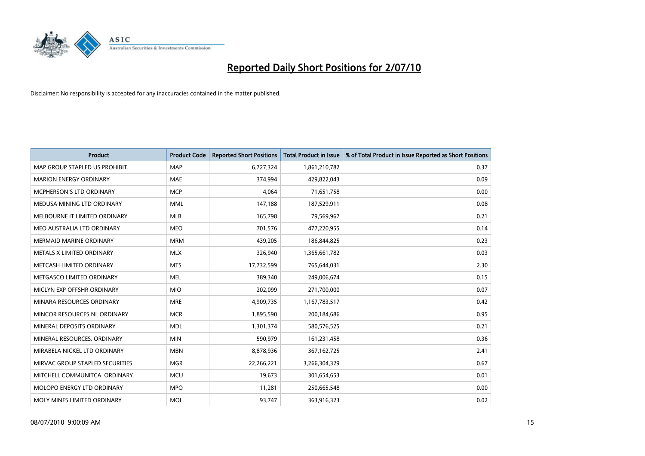

| <b>Product</b>                    | <b>Product Code</b> | <b>Reported Short Positions</b> | Total Product in Issue | % of Total Product in Issue Reported as Short Positions |
|-----------------------------------|---------------------|---------------------------------|------------------------|---------------------------------------------------------|
| MAP GROUP STAPLED US PROHIBIT.    | <b>MAP</b>          | 6,727,324                       | 1,861,210,782          | 0.37                                                    |
| <b>MARION ENERGY ORDINARY</b>     | <b>MAE</b>          | 374.994                         | 429,822,043            | 0.09                                                    |
| <b>MCPHERSON'S LTD ORDINARY</b>   | <b>MCP</b>          | 4.064                           | 71,651,758             | 0.00                                                    |
| MEDUSA MINING LTD ORDINARY        | <b>MML</b>          | 147,188                         | 187,529,911            | 0.08                                                    |
| MELBOURNE IT LIMITED ORDINARY     | <b>MLB</b>          | 165,798                         | 79,569,967             | 0.21                                                    |
| MEO AUSTRALIA LTD ORDINARY        | <b>MEO</b>          | 701,576                         | 477,220,955            | 0.14                                                    |
| <b>MERMAID MARINE ORDINARY</b>    | <b>MRM</b>          | 439.205                         | 186,844,825            | 0.23                                                    |
| METALS X LIMITED ORDINARY         | <b>MLX</b>          | 326,940                         | 1,365,661,782          | 0.03                                                    |
| METCASH LIMITED ORDINARY          | <b>MTS</b>          | 17,732,599                      | 765,644,031            | 2.30                                                    |
| METGASCO LIMITED ORDINARY         | <b>MEL</b>          | 389.340                         | 249,006,674            | 0.15                                                    |
| MICLYN EXP OFFSHR ORDINARY        | <b>MIO</b>          | 202,099                         | 271,700,000            | 0.07                                                    |
| MINARA RESOURCES ORDINARY         | <b>MRE</b>          | 4,909,735                       | 1,167,783,517          | 0.42                                                    |
| MINCOR RESOURCES NL ORDINARY      | <b>MCR</b>          | 1,895,590                       | 200,184,686            | 0.95                                                    |
| MINERAL DEPOSITS ORDINARY         | <b>MDL</b>          | 1,301,374                       | 580,576,525            | 0.21                                                    |
| MINERAL RESOURCES. ORDINARY       | <b>MIN</b>          | 590,979                         | 161,231,458            | 0.36                                                    |
| MIRABELA NICKEL LTD ORDINARY      | <b>MBN</b>          | 8,878,936                       | 367, 162, 725          | 2.41                                                    |
| MIRVAC GROUP STAPLED SECURITIES   | <b>MGR</b>          | 22,266,221                      | 3,266,304,329          | 0.67                                                    |
| MITCHELL COMMUNITCA. ORDINARY     | <b>MCU</b>          | 19,673                          | 301,654,653            | 0.01                                                    |
| <b>MOLOPO ENERGY LTD ORDINARY</b> | <b>MPO</b>          | 11,281                          | 250,665,548            | 0.00                                                    |
| MOLY MINES LIMITED ORDINARY       | <b>MOL</b>          | 93.747                          | 363,916,323            | 0.02                                                    |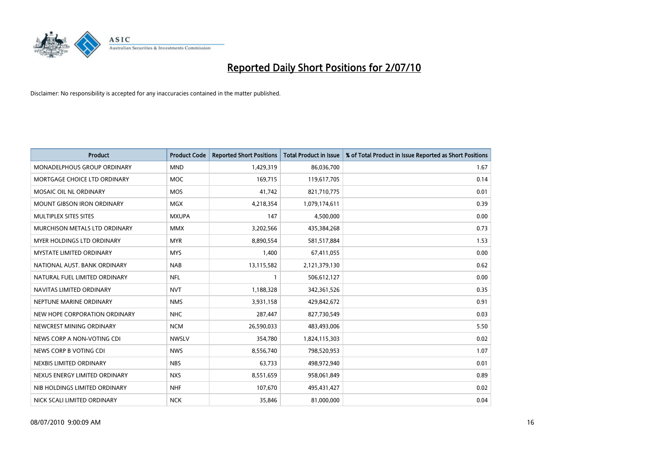

| <b>Product</b>                    | <b>Product Code</b> | <b>Reported Short Positions</b> | <b>Total Product in Issue</b> | % of Total Product in Issue Reported as Short Positions |
|-----------------------------------|---------------------|---------------------------------|-------------------------------|---------------------------------------------------------|
| MONADELPHOUS GROUP ORDINARY       | <b>MND</b>          | 1,429,319                       | 86,036,700                    | 1.67                                                    |
| MORTGAGE CHOICE LTD ORDINARY      | <b>MOC</b>          | 169,715                         | 119,617,705                   | 0.14                                                    |
| MOSAIC OIL NL ORDINARY            | <b>MOS</b>          | 41,742                          | 821,710,775                   | 0.01                                                    |
| <b>MOUNT GIBSON IRON ORDINARY</b> | <b>MGX</b>          | 4,218,354                       | 1,079,174,611                 | 0.39                                                    |
| MULTIPLEX SITES SITES             | <b>MXUPA</b>        | 147                             | 4,500,000                     | 0.00                                                    |
| MURCHISON METALS LTD ORDINARY     | <b>MMX</b>          | 3,202,566                       | 435,384,268                   | 0.73                                                    |
| <b>MYER HOLDINGS LTD ORDINARY</b> | <b>MYR</b>          | 8,890,554                       | 581,517,884                   | 1.53                                                    |
| <b>MYSTATE LIMITED ORDINARY</b>   | <b>MYS</b>          | 1,400                           | 67,411,055                    | 0.00                                                    |
| NATIONAL AUST, BANK ORDINARY      | <b>NAB</b>          | 13,115,582                      | 2,121,379,130                 | 0.62                                                    |
| NATURAL FUEL LIMITED ORDINARY     | <b>NFL</b>          |                                 | 506,612,127                   | 0.00                                                    |
| NAVITAS LIMITED ORDINARY          | <b>NVT</b>          | 1,188,328                       | 342,361,526                   | 0.35                                                    |
| NEPTUNE MARINE ORDINARY           | <b>NMS</b>          | 3,931,158                       | 429,842,672                   | 0.91                                                    |
| NEW HOPE CORPORATION ORDINARY     | <b>NHC</b>          | 287,447                         | 827,730,549                   | 0.03                                                    |
| NEWCREST MINING ORDINARY          | <b>NCM</b>          | 26,590,033                      | 483,493,006                   | 5.50                                                    |
| NEWS CORP A NON-VOTING CDI        | <b>NWSLV</b>        | 354,780                         | 1,824,115,303                 | 0.02                                                    |
| NEWS CORP B VOTING CDI            | <b>NWS</b>          | 8,556,740                       | 798,520,953                   | 1.07                                                    |
| NEXBIS LIMITED ORDINARY           | <b>NBS</b>          | 63,733                          | 498,972,940                   | 0.01                                                    |
| NEXUS ENERGY LIMITED ORDINARY     | <b>NXS</b>          | 8,551,659                       | 958,061,849                   | 0.89                                                    |
| NIB HOLDINGS LIMITED ORDINARY     | <b>NHF</b>          | 107,670                         | 495,431,427                   | 0.02                                                    |
| NICK SCALI LIMITED ORDINARY       | <b>NCK</b>          | 35,846                          | 81,000,000                    | 0.04                                                    |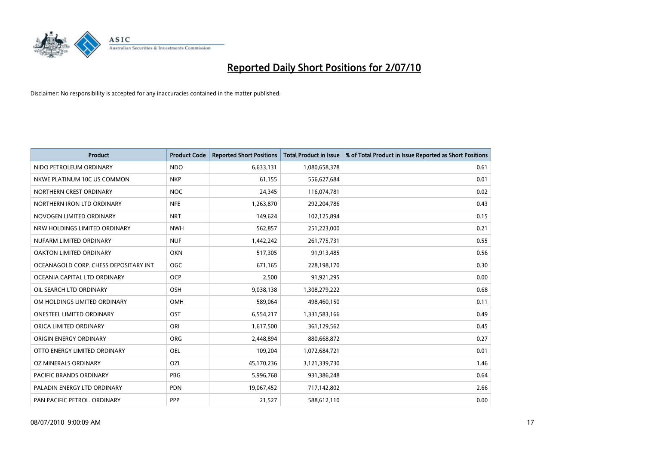

| <b>Product</b>                        | <b>Product Code</b> | <b>Reported Short Positions</b> | <b>Total Product in Issue</b> | % of Total Product in Issue Reported as Short Positions |
|---------------------------------------|---------------------|---------------------------------|-------------------------------|---------------------------------------------------------|
| NIDO PETROLEUM ORDINARY               | <b>NDO</b>          | 6,633,131                       | 1,080,658,378                 | 0.61                                                    |
| NKWE PLATINUM 10C US COMMON           | <b>NKP</b>          | 61,155                          | 556,627,684                   | 0.01                                                    |
| NORTHERN CREST ORDINARY               | <b>NOC</b>          | 24,345                          | 116,074,781                   | 0.02                                                    |
| NORTHERN IRON LTD ORDINARY            | <b>NFE</b>          | 1,263,870                       | 292,204,786                   | 0.43                                                    |
| NOVOGEN LIMITED ORDINARY              | <b>NRT</b>          | 149,624                         | 102,125,894                   | 0.15                                                    |
| NRW HOLDINGS LIMITED ORDINARY         | <b>NWH</b>          | 562,857                         | 251,223,000                   | 0.21                                                    |
| NUFARM LIMITED ORDINARY               | <b>NUF</b>          | 1,442,242                       | 261,775,731                   | 0.55                                                    |
| <b>OAKTON LIMITED ORDINARY</b>        | <b>OKN</b>          | 517,305                         | 91,913,485                    | 0.56                                                    |
| OCEANAGOLD CORP. CHESS DEPOSITARY INT | <b>OGC</b>          | 671,165                         | 228,198,170                   | 0.30                                                    |
| OCEANIA CAPITAL LTD ORDINARY          | <b>OCP</b>          | 2,500                           | 91,921,295                    | 0.00                                                    |
| OIL SEARCH LTD ORDINARY               | <b>OSH</b>          | 9,038,138                       | 1,308,279,222                 | 0.68                                                    |
| OM HOLDINGS LIMITED ORDINARY          | <b>OMH</b>          | 589,064                         | 498,460,150                   | 0.11                                                    |
| ONESTEEL LIMITED ORDINARY             | OST                 | 6,554,217                       | 1,331,583,166                 | 0.49                                                    |
| ORICA LIMITED ORDINARY                | ORI                 | 1,617,500                       | 361,129,562                   | 0.45                                                    |
| ORIGIN ENERGY ORDINARY                | <b>ORG</b>          | 2.448.894                       | 880,668,872                   | 0.27                                                    |
| OTTO ENERGY LIMITED ORDINARY          | <b>OEL</b>          | 109,204                         | 1,072,684,721                 | 0.01                                                    |
| OZ MINERALS ORDINARY                  | OZL                 | 45,170,236                      | 3,121,339,730                 | 1.46                                                    |
| PACIFIC BRANDS ORDINARY               | <b>PBG</b>          | 5,996,768                       | 931,386,248                   | 0.64                                                    |
| PALADIN ENERGY LTD ORDINARY           | <b>PDN</b>          | 19,067,452                      | 717,142,802                   | 2.66                                                    |
| PAN PACIFIC PETROL. ORDINARY          | PPP                 | 21,527                          | 588,612,110                   | 0.00                                                    |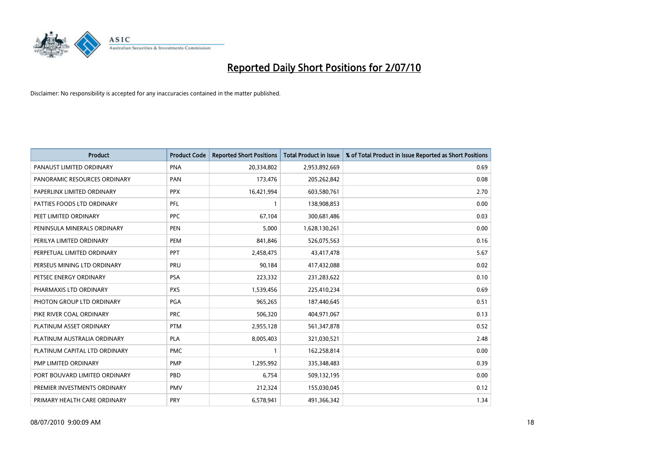

| <b>Product</b>                | <b>Product Code</b> | <b>Reported Short Positions</b> | <b>Total Product in Issue</b> | % of Total Product in Issue Reported as Short Positions |
|-------------------------------|---------------------|---------------------------------|-------------------------------|---------------------------------------------------------|
| PANAUST LIMITED ORDINARY      | <b>PNA</b>          | 20,334,802                      | 2,953,892,669                 | 0.69                                                    |
| PANORAMIC RESOURCES ORDINARY  | PAN                 | 173,476                         | 205,262,842                   | 0.08                                                    |
| PAPERLINX LIMITED ORDINARY    | <b>PPX</b>          | 16,421,994                      | 603,580,761                   | 2.70                                                    |
| PATTIES FOODS LTD ORDINARY    | PFL                 |                                 | 138,908,853                   | 0.00                                                    |
| PEET LIMITED ORDINARY         | <b>PPC</b>          | 67.104                          | 300,681,486                   | 0.03                                                    |
| PENINSULA MINERALS ORDINARY   | <b>PEN</b>          | 5,000                           | 1,628,130,261                 | 0.00                                                    |
| PERILYA LIMITED ORDINARY      | PEM                 | 841,846                         | 526,075,563                   | 0.16                                                    |
| PERPETUAL LIMITED ORDINARY    | PPT                 | 2,458,475                       | 43,417,478                    | 5.67                                                    |
| PERSEUS MINING LTD ORDINARY   | PRU                 | 90,184                          | 417,432,088                   | 0.02                                                    |
| PETSEC ENERGY ORDINARY        | <b>PSA</b>          | 223,332                         | 231,283,622                   | 0.10                                                    |
| PHARMAXIS LTD ORDINARY        | <b>PXS</b>          | 1,539,456                       | 225,410,234                   | 0.69                                                    |
| PHOTON GROUP LTD ORDINARY     | PGA                 | 965,265                         | 187,440,645                   | 0.51                                                    |
| PIKE RIVER COAL ORDINARY      | <b>PRC</b>          | 506,320                         | 404,971,067                   | 0.13                                                    |
| PLATINUM ASSET ORDINARY       | <b>PTM</b>          | 2,955,128                       | 561,347,878                   | 0.52                                                    |
| PLATINUM AUSTRALIA ORDINARY   | <b>PLA</b>          | 8,005,403                       | 321,030,521                   | 2.48                                                    |
| PLATINUM CAPITAL LTD ORDINARY | <b>PMC</b>          |                                 | 162,258,814                   | 0.00                                                    |
| PMP LIMITED ORDINARY          | <b>PMP</b>          | 1,295,992                       | 335,348,483                   | 0.39                                                    |
| PORT BOUVARD LIMITED ORDINARY | PBD                 | 6,754                           | 509,132,195                   | 0.00                                                    |
| PREMIER INVESTMENTS ORDINARY  | <b>PMV</b>          | 212,324                         | 155,030,045                   | 0.12                                                    |
| PRIMARY HEALTH CARE ORDINARY  | PRY                 | 6,578,941                       | 491,366,342                   | 1.34                                                    |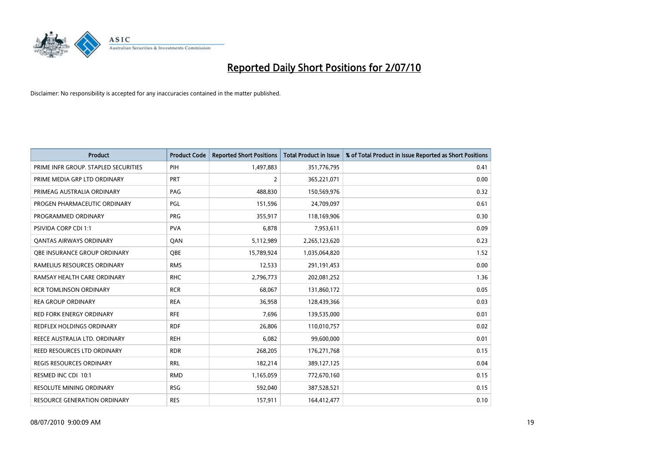

| <b>Product</b>                       | <b>Product Code</b> | <b>Reported Short Positions</b> | Total Product in Issue | % of Total Product in Issue Reported as Short Positions |
|--------------------------------------|---------------------|---------------------------------|------------------------|---------------------------------------------------------|
| PRIME INFR GROUP. STAPLED SECURITIES | PIH                 | 1,497,883                       | 351,776,795            | 0.41                                                    |
| PRIME MEDIA GRP LTD ORDINARY         | <b>PRT</b>          | $\overline{2}$                  | 365,221,071            | 0.00                                                    |
| PRIMEAG AUSTRALIA ORDINARY           | PAG                 | 488.830                         | 150,569,976            | 0.32                                                    |
| PROGEN PHARMACEUTIC ORDINARY         | PGL                 | 151,596                         | 24,709,097             | 0.61                                                    |
| PROGRAMMED ORDINARY                  | <b>PRG</b>          | 355,917                         | 118,169,906            | 0.30                                                    |
| PSIVIDA CORP CDI 1:1                 | <b>PVA</b>          | 6,878                           | 7,953,611              | 0.09                                                    |
| <b>QANTAS AIRWAYS ORDINARY</b>       | QAN                 | 5,112,989                       | 2,265,123,620          | 0.23                                                    |
| OBE INSURANCE GROUP ORDINARY         | OBE                 | 15,789,924                      | 1,035,064,820          | 1.52                                                    |
| RAMELIUS RESOURCES ORDINARY          | <b>RMS</b>          | 12,533                          | 291,191,453            | 0.00                                                    |
| RAMSAY HEALTH CARE ORDINARY          | <b>RHC</b>          | 2,796,773                       | 202,081,252            | 1.36                                                    |
| <b>RCR TOMLINSON ORDINARY</b>        | <b>RCR</b>          | 68,067                          | 131,860,172            | 0.05                                                    |
| <b>REA GROUP ORDINARY</b>            | <b>REA</b>          | 36,958                          | 128,439,366            | 0.03                                                    |
| RED FORK ENERGY ORDINARY             | <b>RFE</b>          | 7,696                           | 139,535,000            | 0.01                                                    |
| REDFLEX HOLDINGS ORDINARY            | <b>RDF</b>          | 26,806                          | 110,010,757            | 0.02                                                    |
| REECE AUSTRALIA LTD. ORDINARY        | <b>REH</b>          | 6,082                           | 99,600,000             | 0.01                                                    |
| <b>REED RESOURCES LTD ORDINARY</b>   | <b>RDR</b>          | 268,205                         | 176,271,768            | 0.15                                                    |
| REGIS RESOURCES ORDINARY             | <b>RRL</b>          | 182,214                         | 389,127,125            | 0.04                                                    |
| RESMED INC CDI 10:1                  | <b>RMD</b>          | 1,165,059                       | 772,670,160            | 0.15                                                    |
| <b>RESOLUTE MINING ORDINARY</b>      | <b>RSG</b>          | 592,040                         | 387,528,521            | 0.15                                                    |
| RESOURCE GENERATION ORDINARY         | <b>RES</b>          | 157,911                         | 164,412,477            | 0.10                                                    |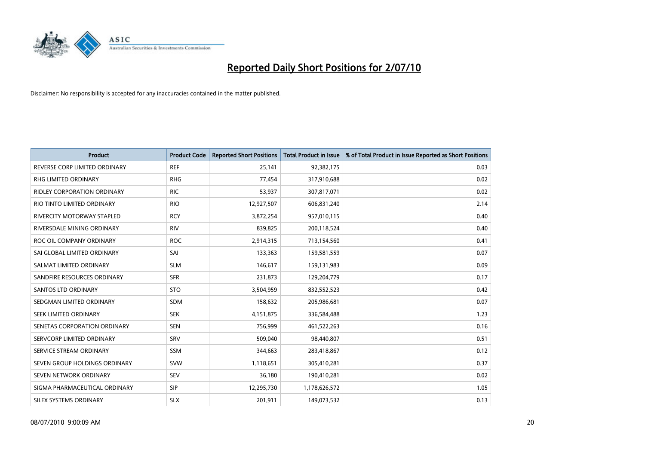

| <b>Product</b>                     | <b>Product Code</b> | <b>Reported Short Positions</b> | Total Product in Issue | % of Total Product in Issue Reported as Short Positions |
|------------------------------------|---------------------|---------------------------------|------------------------|---------------------------------------------------------|
| REVERSE CORP LIMITED ORDINARY      | <b>REF</b>          | 25,141                          | 92,382,175             | 0.03                                                    |
| RHG LIMITED ORDINARY               | <b>RHG</b>          | 77,454                          | 317,910,688            | 0.02                                                    |
| <b>RIDLEY CORPORATION ORDINARY</b> | <b>RIC</b>          | 53,937                          | 307,817,071            | 0.02                                                    |
| RIO TINTO LIMITED ORDINARY         | <b>RIO</b>          | 12,927,507                      | 606,831,240            | 2.14                                                    |
| <b>RIVERCITY MOTORWAY STAPLED</b>  | <b>RCY</b>          | 3,872,254                       | 957,010,115            | 0.40                                                    |
| RIVERSDALE MINING ORDINARY         | <b>RIV</b>          | 839,825                         | 200,118,524            | 0.40                                                    |
| ROC OIL COMPANY ORDINARY           | <b>ROC</b>          | 2,914,315                       | 713,154,560            | 0.41                                                    |
| SAI GLOBAL LIMITED ORDINARY        | SAI                 | 133,363                         | 159,581,559            | 0.07                                                    |
| SALMAT LIMITED ORDINARY            | <b>SLM</b>          | 146,617                         | 159,131,983            | 0.09                                                    |
| SANDFIRE RESOURCES ORDINARY        | <b>SFR</b>          | 231,873                         | 129,204,779            | 0.17                                                    |
| <b>SANTOS LTD ORDINARY</b>         | <b>STO</b>          | 3,504,959                       | 832,552,523            | 0.42                                                    |
| SEDGMAN LIMITED ORDINARY           | <b>SDM</b>          | 158,632                         | 205,986,681            | 0.07                                                    |
| SEEK LIMITED ORDINARY              | <b>SEK</b>          | 4,151,875                       | 336,584,488            | 1.23                                                    |
| SENETAS CORPORATION ORDINARY       | <b>SEN</b>          | 756,999                         | 461,522,263            | 0.16                                                    |
| SERVCORP LIMITED ORDINARY          | SRV                 | 509.040                         | 98,440,807             | 0.51                                                    |
| SERVICE STREAM ORDINARY            | <b>SSM</b>          | 344,663                         | 283,418,867            | 0.12                                                    |
| SEVEN GROUP HOLDINGS ORDINARY      | <b>SVW</b>          | 1,118,651                       | 305,410,281            | 0.37                                                    |
| SEVEN NETWORK ORDINARY             | <b>SEV</b>          | 36,180                          | 190,410,281            | 0.02                                                    |
| SIGMA PHARMACEUTICAL ORDINARY      | <b>SIP</b>          | 12,295,730                      | 1,178,626,572          | 1.05                                                    |
| SILEX SYSTEMS ORDINARY             | <b>SLX</b>          | 201,911                         | 149,073,532            | 0.13                                                    |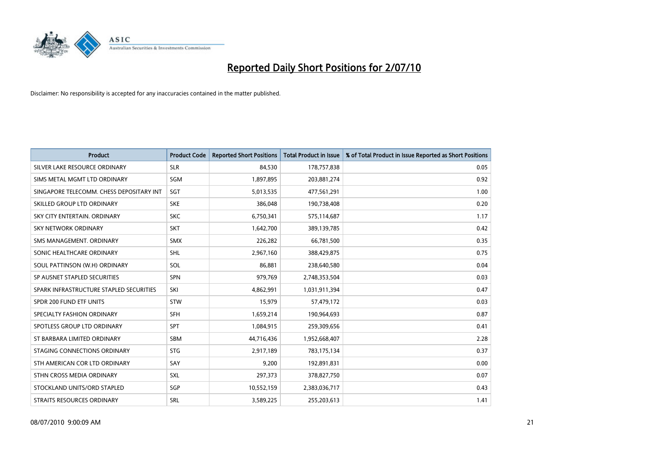

| <b>Product</b>                           | <b>Product Code</b> | <b>Reported Short Positions</b> | <b>Total Product in Issue</b> | % of Total Product in Issue Reported as Short Positions |
|------------------------------------------|---------------------|---------------------------------|-------------------------------|---------------------------------------------------------|
| SILVER LAKE RESOURCE ORDINARY            | <b>SLR</b>          | 84.530                          | 178,757,838                   | 0.05                                                    |
| SIMS METAL MGMT LTD ORDINARY             | <b>SGM</b>          | 1,897,895                       | 203,881,274                   | 0.92                                                    |
| SINGAPORE TELECOMM. CHESS DEPOSITARY INT | SGT                 | 5,013,535                       | 477,561,291                   | 1.00                                                    |
| SKILLED GROUP LTD ORDINARY               | <b>SKE</b>          | 386,048                         | 190,738,408                   | 0.20                                                    |
| SKY CITY ENTERTAIN, ORDINARY             | <b>SKC</b>          | 6,750,341                       | 575,114,687                   | 1.17                                                    |
| <b>SKY NETWORK ORDINARY</b>              | <b>SKT</b>          | 1,642,700                       | 389,139,785                   | 0.42                                                    |
| SMS MANAGEMENT, ORDINARY                 | <b>SMX</b>          | 226,282                         | 66,781,500                    | 0.35                                                    |
| SONIC HEALTHCARE ORDINARY                | <b>SHL</b>          | 2,967,160                       | 388,429,875                   | 0.75                                                    |
| SOUL PATTINSON (W.H) ORDINARY            | SOL                 | 86,881                          | 238,640,580                   | 0.04                                                    |
| SP AUSNET STAPLED SECURITIES             | <b>SPN</b>          | 979,769                         | 2,748,353,504                 | 0.03                                                    |
| SPARK INFRASTRUCTURE STAPLED SECURITIES  | SKI                 | 4,862,991                       | 1,031,911,394                 | 0.47                                                    |
| SPDR 200 FUND ETF UNITS                  | <b>STW</b>          | 15,979                          | 57,479,172                    | 0.03                                                    |
| SPECIALTY FASHION ORDINARY               | <b>SFH</b>          | 1,659,214                       | 190,964,693                   | 0.87                                                    |
| SPOTLESS GROUP LTD ORDINARY              | <b>SPT</b>          | 1,084,915                       | 259,309,656                   | 0.41                                                    |
| ST BARBARA LIMITED ORDINARY              | SBM                 | 44,716,436                      | 1,952,668,407                 | 2.28                                                    |
| STAGING CONNECTIONS ORDINARY             | <b>STG</b>          | 2,917,189                       | 783,175,134                   | 0.37                                                    |
| STH AMERICAN COR LTD ORDINARY            | SAY                 | 9,200                           | 192,891,831                   | 0.00                                                    |
| STHN CROSS MEDIA ORDINARY                | <b>SXL</b>          | 297,373                         | 378,827,750                   | 0.07                                                    |
| STOCKLAND UNITS/ORD STAPLED              | SGP                 | 10,552,159                      | 2,383,036,717                 | 0.43                                                    |
| STRAITS RESOURCES ORDINARY               | SRL                 | 3,589,225                       | 255,203,613                   | 1.41                                                    |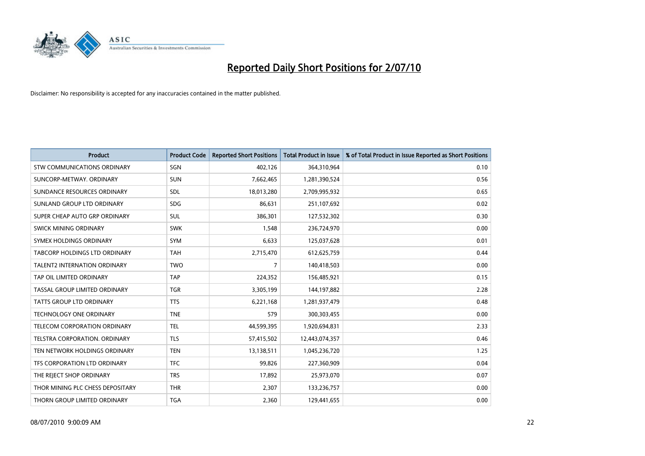

| <b>Product</b>                      | <b>Product Code</b> | <b>Reported Short Positions</b> | <b>Total Product in Issue</b> | % of Total Product in Issue Reported as Short Positions |
|-------------------------------------|---------------------|---------------------------------|-------------------------------|---------------------------------------------------------|
| <b>STW COMMUNICATIONS ORDINARY</b>  | SGN                 | 402,126                         | 364,310,964                   | 0.10                                                    |
| SUNCORP-METWAY, ORDINARY            | <b>SUN</b>          | 7,662,465                       | 1,281,390,524                 | 0.56                                                    |
| SUNDANCE RESOURCES ORDINARY         | SDL                 | 18,013,280                      | 2,709,995,932                 | 0.65                                                    |
| SUNLAND GROUP LTD ORDINARY          | <b>SDG</b>          | 86,631                          | 251,107,692                   | 0.02                                                    |
| SUPER CHEAP AUTO GRP ORDINARY       | <b>SUL</b>          | 386,301                         | 127,532,302                   | 0.30                                                    |
| SWICK MINING ORDINARY               | <b>SWK</b>          | 1,548                           | 236,724,970                   | 0.00                                                    |
| SYMEX HOLDINGS ORDINARY             | <b>SYM</b>          | 6,633                           | 125,037,628                   | 0.01                                                    |
| TABCORP HOLDINGS LTD ORDINARY       | <b>TAH</b>          | 2,715,470                       | 612,625,759                   | 0.44                                                    |
| <b>TALENT2 INTERNATION ORDINARY</b> | <b>TWO</b>          | 7                               | 140,418,503                   | 0.00                                                    |
| TAP OIL LIMITED ORDINARY            | <b>TAP</b>          | 224,352                         | 156,485,921                   | 0.15                                                    |
| TASSAL GROUP LIMITED ORDINARY       | <b>TGR</b>          | 3,305,199                       | 144,197,882                   | 2.28                                                    |
| <b>TATTS GROUP LTD ORDINARY</b>     | <b>TTS</b>          | 6,221,168                       | 1,281,937,479                 | 0.48                                                    |
| <b>TECHNOLOGY ONE ORDINARY</b>      | <b>TNE</b>          | 579                             | 300,303,455                   | 0.00                                                    |
| TELECOM CORPORATION ORDINARY        | <b>TEL</b>          | 44,599,395                      | 1,920,694,831                 | 2.33                                                    |
| TELSTRA CORPORATION, ORDINARY       | <b>TLS</b>          | 57,415,502                      | 12,443,074,357                | 0.46                                                    |
| TEN NETWORK HOLDINGS ORDINARY       | <b>TEN</b>          | 13,138,511                      | 1,045,236,720                 | 1.25                                                    |
| TFS CORPORATION LTD ORDINARY        | <b>TFC</b>          | 99,826                          | 227,360,909                   | 0.04                                                    |
| THE REJECT SHOP ORDINARY            | <b>TRS</b>          | 17,892                          | 25,973,070                    | 0.07                                                    |
| THOR MINING PLC CHESS DEPOSITARY    | <b>THR</b>          | 2,307                           | 133,236,757                   | 0.00                                                    |
| THORN GROUP LIMITED ORDINARY        | <b>TGA</b>          | 2,360                           | 129,441,655                   | 0.00                                                    |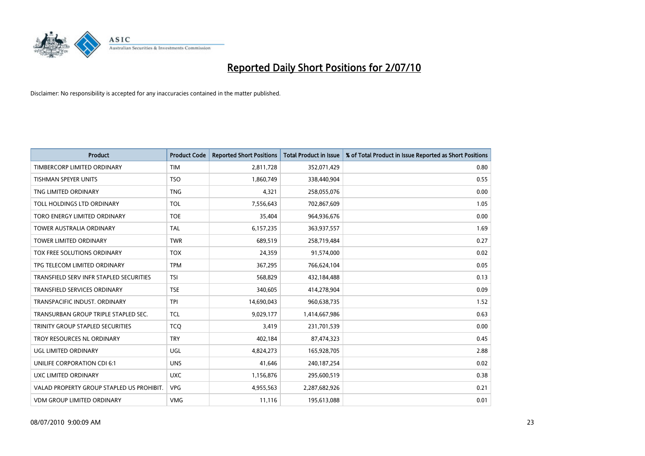

| <b>Product</b>                            | <b>Product Code</b> | <b>Reported Short Positions</b> | Total Product in Issue | % of Total Product in Issue Reported as Short Positions |
|-------------------------------------------|---------------------|---------------------------------|------------------------|---------------------------------------------------------|
| TIMBERCORP LIMITED ORDINARY               | <b>TIM</b>          | 2,811,728                       | 352,071,429            | 0.80                                                    |
| <b>TISHMAN SPEYER UNITS</b>               | <b>TSO</b>          | 1,860,749                       | 338,440,904            | 0.55                                                    |
| TNG LIMITED ORDINARY                      | <b>TNG</b>          | 4,321                           | 258,055,076            | 0.00                                                    |
| TOLL HOLDINGS LTD ORDINARY                | <b>TOL</b>          | 7,556,643                       | 702,867,609            | 1.05                                                    |
| TORO ENERGY LIMITED ORDINARY              | <b>TOE</b>          | 35,404                          | 964,936,676            | 0.00                                                    |
| <b>TOWER AUSTRALIA ORDINARY</b>           | <b>TAL</b>          | 6,157,235                       | 363,937,557            | 1.69                                                    |
| <b>TOWER LIMITED ORDINARY</b>             | <b>TWR</b>          | 689,519                         | 258,719,484            | 0.27                                                    |
| <b>TOX FREE SOLUTIONS ORDINARY</b>        | <b>TOX</b>          | 24,359                          | 91,574,000             | 0.02                                                    |
| TPG TELECOM LIMITED ORDINARY              | <b>TPM</b>          | 367,295                         | 766,624,104            | 0.05                                                    |
| TRANSFIELD SERV INFR STAPLED SECURITIES   | <b>TSI</b>          | 568,829                         | 432,184,488            | 0.13                                                    |
| <b>TRANSFIELD SERVICES ORDINARY</b>       | <b>TSE</b>          | 340,605                         | 414,278,904            | 0.09                                                    |
| TRANSPACIFIC INDUST, ORDINARY             | <b>TPI</b>          | 14,690,043                      | 960,638,735            | 1.52                                                    |
| TRANSURBAN GROUP TRIPLE STAPLED SEC.      | <b>TCL</b>          | 9,029,177                       | 1,414,667,986          | 0.63                                                    |
| TRINITY GROUP STAPLED SECURITIES          | <b>TCO</b>          | 3,419                           | 231,701,539            | 0.00                                                    |
| TROY RESOURCES NL ORDINARY                | <b>TRY</b>          | 402,184                         | 87,474,323             | 0.45                                                    |
| <b>UGL LIMITED ORDINARY</b>               | UGL                 | 4,824,273                       | 165,928,705            | 2.88                                                    |
| UNILIFE CORPORATION CDI 6:1               | <b>UNS</b>          | 41,646                          | 240,187,254            | 0.02                                                    |
| UXC LIMITED ORDINARY                      | <b>UXC</b>          | 1,156,876                       | 295,600,519            | 0.38                                                    |
| VALAD PROPERTY GROUP STAPLED US PROHIBIT. | <b>VPG</b>          | 4,955,563                       | 2,287,682,926          | 0.21                                                    |
| <b>VDM GROUP LIMITED ORDINARY</b>         | <b>VMG</b>          | 11,116                          | 195,613,088            | 0.01                                                    |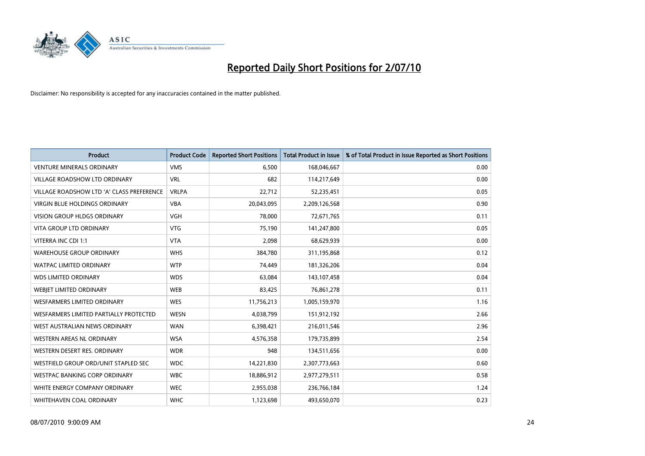

| <b>Product</b>                            | <b>Product Code</b> | <b>Reported Short Positions</b> | <b>Total Product in Issue</b> | % of Total Product in Issue Reported as Short Positions |
|-------------------------------------------|---------------------|---------------------------------|-------------------------------|---------------------------------------------------------|
| <b>VENTURE MINERALS ORDINARY</b>          | <b>VMS</b>          | 6.500                           | 168,046,667                   | 0.00                                                    |
| <b>VILLAGE ROADSHOW LTD ORDINARY</b>      | <b>VRL</b>          | 682                             | 114,217,649                   | 0.00                                                    |
| VILLAGE ROADSHOW LTD 'A' CLASS PREFERENCE | <b>VRLPA</b>        | 22,712                          | 52,235,451                    | 0.05                                                    |
| VIRGIN BLUE HOLDINGS ORDINARY             | <b>VBA</b>          | 20,043,095                      | 2,209,126,568                 | 0.90                                                    |
| <b>VISION GROUP HLDGS ORDINARY</b>        | <b>VGH</b>          | 78,000                          | 72,671,765                    | 0.11                                                    |
| <b>VITA GROUP LTD ORDINARY</b>            | VTG                 | 75,190                          | 141,247,800                   | 0.05                                                    |
| VITERRA INC CDI 1:1                       | <b>VTA</b>          | 2,098                           | 68,629,939                    | 0.00                                                    |
| <b>WAREHOUSE GROUP ORDINARY</b>           | <b>WHS</b>          | 384.780                         | 311,195,868                   | 0.12                                                    |
| <b>WATPAC LIMITED ORDINARY</b>            | <b>WTP</b>          | 74,449                          | 181,326,206                   | 0.04                                                    |
| <b>WDS LIMITED ORDINARY</b>               | <b>WDS</b>          | 63,084                          | 143,107,458                   | 0.04                                                    |
| <b>WEBJET LIMITED ORDINARY</b>            | <b>WEB</b>          | 83,425                          | 76,861,278                    | 0.11                                                    |
| <b>WESFARMERS LIMITED ORDINARY</b>        | <b>WES</b>          | 11,756,213                      | 1,005,159,970                 | 1.16                                                    |
| WESFARMERS LIMITED PARTIALLY PROTECTED    | <b>WESN</b>         | 4,038,799                       | 151,912,192                   | 2.66                                                    |
| WEST AUSTRALIAN NEWS ORDINARY             | <b>WAN</b>          | 6,398,421                       | 216,011,546                   | 2.96                                                    |
| WESTERN AREAS NL ORDINARY                 | <b>WSA</b>          | 4,576,358                       | 179,735,899                   | 2.54                                                    |
| WESTERN DESERT RES. ORDINARY              | <b>WDR</b>          | 948                             | 134,511,656                   | 0.00                                                    |
| WESTFIELD GROUP ORD/UNIT STAPLED SEC      | <b>WDC</b>          | 14,221,830                      | 2,307,773,663                 | 0.60                                                    |
| WESTPAC BANKING CORP ORDINARY             | <b>WBC</b>          | 18,886,912                      | 2,977,279,511                 | 0.58                                                    |
| WHITE ENERGY COMPANY ORDINARY             | <b>WEC</b>          | 2,955,038                       | 236,766,184                   | 1.24                                                    |
| WHITEHAVEN COAL ORDINARY                  | <b>WHC</b>          | 1,123,698                       | 493,650,070                   | 0.23                                                    |